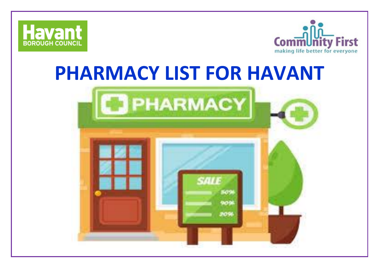



## **PHARMACY LIST FOR HAVANT**

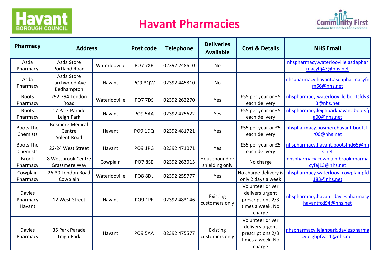# **Havant**

#### **Havant Pharmacies**



| <b>Pharmacy</b>                     | <b>Address</b>                                  |               | <b>Post code</b> | <b>Telephone</b> | <b>Deliveries</b><br><b>Available</b> | <b>Cost &amp; Details</b>                                                              | <b>NHS Email</b>                                            |
|-------------------------------------|-------------------------------------------------|---------------|------------------|------------------|---------------------------------------|----------------------------------------------------------------------------------------|-------------------------------------------------------------|
| Asda<br>Pharmacy                    | Asda Store<br><b>Portland Road</b>              | Waterlooville | <b>PO7 7XR</b>   | 02392 248610     | <b>No</b>                             |                                                                                        | nhspharmacy.waterlooville.asdaphar<br>macyflj47@nhs.net     |
| Asda<br>Pharmacy                    | Asda Store<br>Larchwood Ave<br>Bedhampton       | Havant        | <b>PO9 3QW</b>   | 02392 445810     | No                                    |                                                                                        | nhspharmacy.havant.asdapharmacyfn<br>m66@nhs.net            |
| <b>Boots</b><br>Pharmacy            | 292-294 London<br>Road                          | Waterlooville | <b>PO7 7DS</b>   | 02392 262270     | Yes                                   | £55 per year or £5<br>each delivery                                                    | nhspharmacy.waterlooville.bootsfdv3<br>3@nhs.net            |
| <b>Boots</b><br>Pharmacy            | 17 Park Parade<br>Leigh Park                    | Havant        | <b>PO9 5AA</b>   | 02392 475622     | Yes                                   | £55 per year or £5<br>each delivery                                                    | nhspharmacy.leighparkhavant.bootsfj<br>a00@nhs.net          |
| <b>Boots The</b><br>Chemists        | <b>Bosmere Medical</b><br>Centre<br>Solent Road | Havant        | <b>PO9 1DQ</b>   | 02392 481721     | Yes                                   | £55 per year or £5<br>each delivery                                                    | nhspharmacy.bosmerehavant.bootsff<br>r00@nhs.net            |
| <b>Boots The</b><br>Chemists        | 22-24 West Street                               | Havant        | <b>PO9 1PG</b>   | 02392 471071     | Yes                                   | £55 per year or £5<br>each delivery                                                    | nhspharmacy.havant.bootsfnd65@nh<br>s.net                   |
| <b>Brook</b><br>Pharmacy            | 8 Westbrook Centre<br>Grassmere Way             | Cowplain      | <b>PO7 8SE</b>   | 02392 263015     | Housebound or<br>shielding only       | No charge                                                                              | nhspharmacy.cowplain.brookpharma<br>cyfej13@nhs.net         |
| Cowplain<br>Pharmacy                | 26-30 London Road<br>Cowplain                   | Waterlooville | <b>PO8 8DL</b>   | 02392 255777     | Yes                                   | No charge delivery is<br>only 2 days a week                                            | nhspharmacy.waterloovi.cowplainpfd<br>183@nhs.net           |
| <b>Davies</b><br>Pharmacy<br>Havant | 12 West Street                                  | Havant        | <b>PO9 1PF</b>   | 02392 483146     | Existing<br>customers only            | Volunteer driver<br>delivers urgent<br>prescriptions 2/3<br>times a week. No<br>charge | nhspharmacy.havant.daviespharmacy<br>havantfcd94@nhs.net    |
| <b>Davies</b><br>Pharmacy           | 35 Park Parade<br>Leigh Park                    | Havant        | <b>PO9 5AA</b>   | 02392 475577     | Existing<br>customers only            | Volunteer driver<br>delivers urgent<br>prescriptions 2/3<br>times a week. No<br>charge | nhspharmacy.leighpark.daviespharma<br>cyleighpfva11@nhs.net |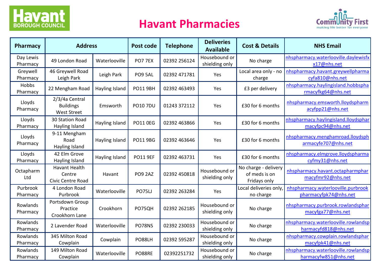

#### **Havant Pharmacies**



| Pharmacy              | <b>Address</b>                                             |                | Post code       | <b>Telephone</b> | <b>Deliveries</b><br><b>Available</b> | <b>Cost &amp; Details</b>                             | <b>NHS Email</b>                                            |
|-----------------------|------------------------------------------------------------|----------------|-----------------|------------------|---------------------------------------|-------------------------------------------------------|-------------------------------------------------------------|
| Day Lewis<br>Pharmacy | 49 London Road                                             | Waterlooville  | PO7 7EX         | 02392 256124     | Housebound or<br>shielding only       | No charge                                             | nhspharmacy.waterlooville.daylewisfx<br>x17@nhs.net         |
| Greywell<br>Pharmacy  | 46 Greywell Road<br>Leigh Park                             | Leigh Park     | PO9 5AL         | 02392 471781     | Yes                                   | Local area only - no<br>charge                        | nhspharmacy.havant.greywellpharma<br>cyfa810@nhs.net        |
| Hobbs<br>Pharmacy     | 22 Mengham Road                                            | Hayling Island | <b>PO11 9BH</b> | 02392 463493     | Yes                                   | £3 per delivery                                       | nhspharmacy.haylingisland.hobbspha<br>rmacyfkg64@nhs.net    |
| Lloyds<br>Pharmacy    | 2/3/4a Central<br><b>Buildings</b><br><b>West Street</b>   | Emsworth       | <b>PO10 7DU</b> | 01243 372112     | Yes                                   | £30 for 6 months                                      | nhspharmacy.emsworth.lloydspharm<br>acyfpp21@nhs.net        |
| Lloyds<br>Pharmacy    | 30 Station Road<br>Hayling Island                          | Hayling Island | <b>PO11 0EG</b> | 02392 463866     | Yes                                   | £30 for 6 months                                      | nhspharmacy.haylingisland.lloydsphar<br>macyfpc94@nhs.net   |
| Lloyds<br>Pharmacy    | 9-11 Mengham<br>Road<br>Hayling Island                     | Hayling Island | <b>PO11 9BG</b> | 02392 463646     | Yes                                   | £30 for 6 months                                      | nhspharmacy.menghamroad.lloydsph<br>armacyfe707@nhs.net     |
| Lloyds<br>Pharmacy    | 42 Elm Grove<br>Hayling Island                             | Hayling Island | <b>PO11 9EF</b> | 02392 463731     | Yes                                   | £30 for 6 months                                      | nhspharmacy.elmgrove.lloydspharma<br>cyfmy31@nhs.net        |
| Octapharm<br>Ltd      | <b>Havant Health</b><br>Centre<br><b>Civic Centre Road</b> | Havant         | <b>PO9 2AZ</b>  | 02392 450818     | Housebound or<br>shielding only       | No charge - delivery<br>of meds is on<br>Fridays only | nhspharmacy.havant.octapharmphar<br>macyfmr92@nhs.net       |
| Purbrook<br>Pharmacy  | 4 London Road<br>Purbrook                                  | Waterlooville  | <b>PO75U</b>    | 02392 263284     | Yes                                   | Local deliveries only,<br>no charge                   | nhspharmacy.waterlooville.purbrook<br>pharmacyfpk74@nhs.net |
| Rowlands<br>Pharmacy  | Portsdown Group<br>Practice<br>Crookhorn Lane              | Crookhorn      | PO75QH          | 02392 262185     | Housebound or<br>shielding only       | No charge                                             | nhspharmacy.purbrook.rowlandsphar<br>macyfga77@nhs.net      |
| Rowlands<br>Pharmacy  | 2 Lavender Road                                            | Waterlooville  | PO78NS          | 02392 230033     | Housebound or<br>shielding only       | No charge                                             | nhspharmacy.waterlooville.rowlandsp<br>harmacyfd818@nhs.net |
| Rowlands<br>Pharmacy  | 345 Milton Road<br>Cowplain                                | Cowplain       | PO88LH          | 02392 595287     | Housebound or<br>shielding only       | No charge                                             | nhspharmacy.cowplain.rowlandsphar<br>macyfpk41@nhs.net      |
| Rowlands<br>Pharmacy  | 149 Milton Road<br>Cowplain                                | Waterlooville  | PO88RE          | 02392251732      | Housebound or<br>shielding only       | No charge                                             | nhspharmacy.waterlooville.rowlandsp<br>harmacyfw851@nhs.net |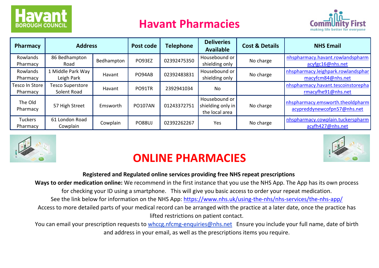

#### **Havant Pharmacies**



| Pharmacy                   | <b>Address</b>                         |            | Post code      | <b>Telephone</b> | <b>Deliveries</b><br><b>Available</b>                | <b>Cost &amp; Details</b> | <b>NHS Email</b>                                                |
|----------------------------|----------------------------------------|------------|----------------|------------------|------------------------------------------------------|---------------------------|-----------------------------------------------------------------|
| Rowlands<br>Pharmacy       | 86 Bedhampton<br>Road                  | Bedhampton | PO93EZ         | 02392475350      | Housebound or<br>shielding only                      | No charge                 | nhspharmacy.havant.rowlandspharm<br>acyfgc16@nhs.net            |
| Rowlands<br>Pharmacy       | 1 Middle Park Way<br>Leigh Park        | Havant     | PO94AB         | 02392483831      | Housebound or<br>shielding only                      | No charge                 | nhspharmacy.leighpark.rowlandsphar<br>macyfcm84@nhs.net         |
| Tesco In Store<br>Pharmacy | <b>Tesco Superstore</b><br>Solent Road | Havant     | PO91TR         | 2392941034       | <b>No</b>                                            |                           | nhspharmacy.havant.tescoinstorepha<br>rmacyfhe91@nhs.net        |
| The Old<br>Pharmacy        | 57 High Street                         | Emsworth   | <b>PO107AN</b> | 01243372751      | Housebound or<br>shielding only in<br>the local area | No charge                 | nhspharmacy.emsworth.theoldpharm<br>acypreddynewcofpn57@nhs.net |
| <b>Tuckers</b><br>Pharmacy | 61 London Road<br>Cowplain             | Cowplain   | <b>PO88UJ</b>  | 02392262267      | Yes                                                  | No charge                 | nhspharmacy.cowplain.tuckerspharm<br>acyfh427@nhs.net           |



### **ONLINE PHARMACIES**

#### **Registered and Regulated online services providing free NHS repeat prescriptions**

**Ways to order medication online:** We recommend in the first instance that you use the NHS App. The App has its own process for checking your ID using a smartphone. This will give you basic access to order your repeat medication.

See the link below for information on the NHS App:<https://www.nhs.uk/using-the-nhs/nhs-services/the-nhs-app/>

Access to more detailed parts of your medical record can be arranged with the practice at a later date, once the practice has lifted restrictions on patient contact.

You can email your prescription requests to whccg.nfcmg-enquiries@nhs.net Ensure you include your full name, date of birth and address in your email, as well as the prescriptions items you require.